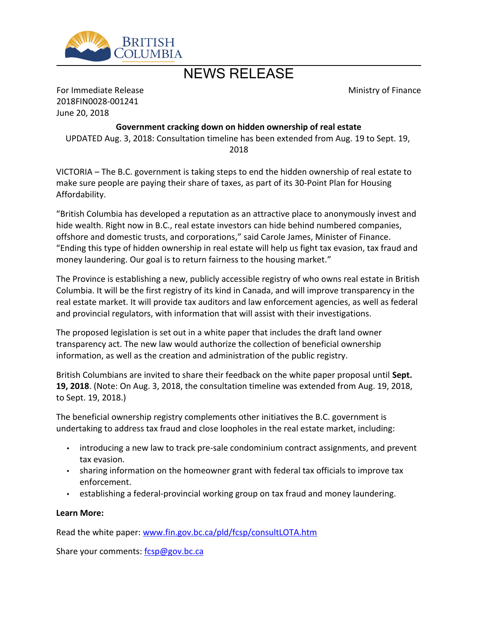

## NEWS RELEASE

Ministry of Finance

For Immediate Release 2018FIN0028-001241 June 20, 2018

## **Government cracking down on hidden ownership of real estate**

UPDATED Aug. 3, 2018: Consultation timeline has been extended from Aug. 19 to Sept. 19, 2018

VICTORIA – The B.C. government is taking steps to end the hidden ownership of real estate to make sure people are paying their share of taxes, as part of its 30-Point Plan for Housing Affordability.

"British Columbia has developed a reputation as an attractive place to anonymously invest and hide wealth. Right now in B.C., real estate investors can hide behind numbered companies, offshore and domestic trusts, and corporations," said Carole James, Minister of Finance. "Ending this type of hidden ownership in real estate will help us fight tax evasion, tax fraud and money laundering. Our goal is to return fairness to the housing market."

The Province is establishing a new, publicly accessible registry of who owns real estate in British Columbia. It will be the first registry of its kind in Canada, and will improve transparency in the real estate market. It will provide tax auditors and law enforcement agencies, as well as federal and provincial regulators, with information that will assist with their investigations.

The proposed legislation is set out in a white paper that includes the draft land owner transparency act. The new law would authorize the collection of beneficial ownership information, as well as the creation and administration of the public registry.

British Columbians are invited to share their feedback on the white paper proposal until **Sept. 19, 2018**. (Note: On Aug. 3, 2018, the consultation timeline was extended from Aug. 19, 2018, to Sept. 19, 2018.)

The beneficial ownership registry complements other initiatives the B.C. government is undertaking to address tax fraud and close loopholes in the real estate market, including:

- introducing a new law to track pre-sale condominium contract assignments, and prevent tax evasion.
- sharing information on the homeowner grant with federal tax officials to improve tax enforcement.
- establishing a federal-provincial working group on tax fraud and money laundering.

## **Learn More:**

Read the white paper: [www.fin.gov.bc.ca/pld/fcsp/consultLOTA.htm](http://www.fin.gov.bc.ca/pld/fcsp/consultLOTA.htm)

Share your comments: [fcsp@gov.bc.ca](mailto:fcsp@gov.bc.ca)